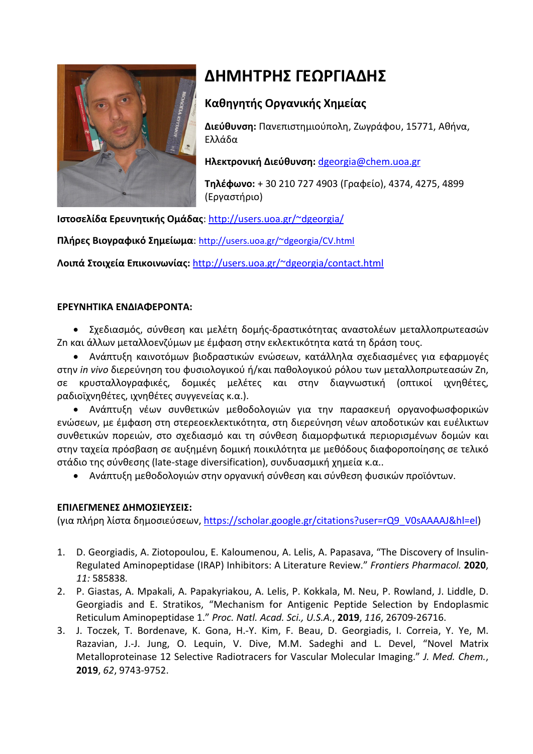

## **ΔΗΜΗΤΡΗΣ ΓΕΩΡΓΙΑΔΗΣ**

## **Καθηγητής Οργανικής Χημείας**

**Διεύθυνση:** Πανεπιστημιούπολη, Ζωγράφου, 15771, Αθήνα, Ελλάδα

**Ηλεκτρονική Διεύθυνση:** [dgeorgia@chem.uoa.gr](mailto:dgeorgia@chem.uoa.gr)

**Τηλέφωνο:** + 30 210 727 4903 (Γραφείο), 4374, 4275, 4899 (Εργαστήριο)

**Ιστοσελίδα Ερευνητικής Ομάδας**: [http://users.uoa.gr/~dgeorgia/](http://users.uoa.gr/%7Edgeorgia/)

**Πλήρες Βιογραφικό Σημείωμα**: [http://users.uoa.gr/~dgeorgia/CV.html](http://users.uoa.gr/%7Edgeorgia/CV.html)

**Λοιπά Στοιχεία Επικοινωνίας:** [http://users.uoa.gr/~dgeorgia/contact.html](http://users.uoa.gr/%7Edgeorgia/contact.html)

## **ΕΡΕΥΝΗΤΙΚΑ ΕΝΔΙΑΦΕΡΟΝΤΑ:**

• Σχεδιασμός, σύνθεση και μελέτη δομής-δραστικότητας αναστολέων μεταλλοπρωτεασών Zn και άλλων μεταλλοενζύμων με έμφαση στην εκλεκτικότητα κατά τη δράση τους.

• Ανάπτυξη καινοτόμων βιοδραστικών ενώσεων, κατάλληλα σχεδιασμένες για εφαρμογές στην *in vivo* διερεύνηση του φυσιολογικού ή/και παθολογικού ρόλου των μεταλλοπρωτεασών Zn, σε κρυσταλλογραφικές, δομικές μελέτες και στην διαγνωστική (οπτικοί ιχνηθέτες, ραδιοϊχνηθέτες, ιχνηθέτες συγγενείας κ.α.).

• Ανάπτυξη νέων συνθετικών μεθοδολογιών για την παρασκευή οργανοφωσφορικών ενώσεων, με έμφαση στη στερεοεκλεκτικότητα, στη διερεύνηση νέων αποδοτικών και ευέλικτων συνθετικών πορειών, στο σχεδιασμό και τη σύνθεση διαμορφωτικά περιορισμένων δομών και στην ταχεία πρόσβαση σε αυξημένη δομική ποικιλότητα με μεθόδους διαφοροποίησης σε τελικό στάδιο της σύνθεσης (late-stage diversification), συνδυασμική χημεία κ.α..

• Ανάπτυξη μεθοδολογιών στην οργανική σύνθεση και σύνθεση φυσικών προϊόντων.

## **ΕΠΙΛΕΓΜΕΝΕΣ ΔΗΜΟΣΙΕΥΣΕΙΣ:**

(για πλήρη λίστα δημοσιεύσεων, [https://scholar.google.gr/citations?user=rQ9\\_V0sAAAAJ&hl=el\)](https://scholar.google.gr/citations?user=rQ9_V0sAAAAJ&hl=el)

- 1. D. Georgiadis, A. Ziotopoulou, E. Kaloumenou, A. Lelis, A. Papasava, "The Discovery of Insulin-Regulated Aminopeptidase (IRAP) Inhibitors: A Literature Review." *Frontiers Pharmacol.* **2020**, *11:* 585838*.*
- 2. P. Giastas, A. Mpakali, A. Papakyriakou, A. Lelis, P. Kokkala, M. Neu, P. Rowland, J. Liddle, D. Georgiadis and E. Stratikos, "Mechanism for Antigenic Peptide Selection by Endoplasmic Reticulum Aminopeptidase 1." *Proc. Natl. Acad. Sci., U.S.A.*, **2019**, *116*, 26709-26716.
- 3. J. Toczek, T. Bordenave, K. Gona, H.-Y. Kim, F. Beau, D. Georgiadis, I. Correia, Y. Ye, M. Razavian, J.-J. Jung, O. Lequin, V. Dive, M.M. Sadeghi and L. Devel, "Novel Matrix Metalloproteinase 12 Selective Radiotracers for Vascular Molecular Imaging." *J. Med. Chem.*, **2019**, *62*, 9743-9752.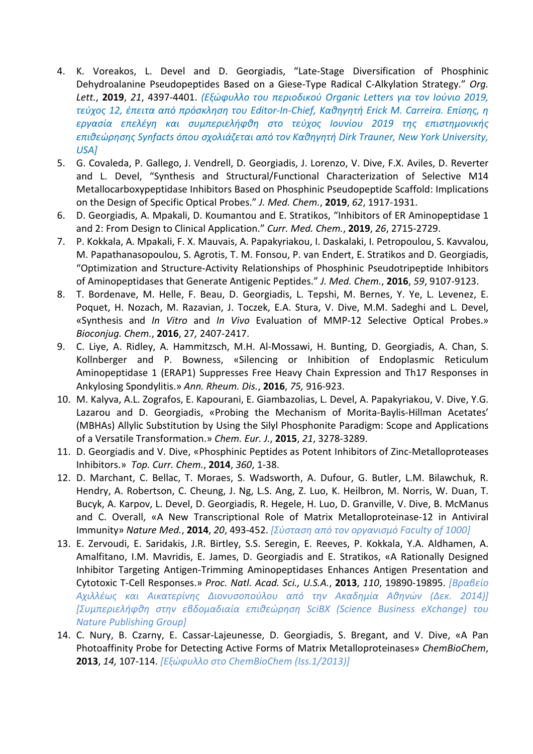- 4. K. Voreakos, L. Devel and D. Georgiadis, "Late-Stage Diversification of Phosphinic Dehydroalanine Pseudopeptides Based on a Giese-Type Radical C-Alkylation Strategy." *Org. Lett.*, **2019**, *21*, 4397-4401. *(Εξώφυλλο του περιοδικού Organic Letters για τον Ιούνιο 2019, τεύχος 12, έπειτα από πρόσκληση του Editor-In-Chief, Καθηγητή Erick M. Carreira. Επίσης, η εργασία επελέγη και συμπεριελήφθη στο τεύχος Ιουνίου 2019 της επιστημονικής επιθεώρησης Synfacts όπου σχολιάζεται από τον Καθηγητή Dirk Trauner, New York University, USA]*
- 5. G. Covaleda, P. Gallego, J. Vendrell, D. Georgiadis, J. Lorenzo, V. Dive, F.X. Aviles, D. Reverter and L. Devel, "Synthesis and Structural/Functional Characterization of Selective M14 Metallocarboxypeptidase Inhibitors Based on Phosphinic Pseudopeptide Scaffold: Implications on the Design of Specific Optical Probes." *J. Med. Chem.*, **2019**, *62*, 1917-1931.
- 6. D. Georgiadis, A. Mpakali, D. Koumantou and E. Stratikos, "Inhibitors of ER Aminopeptidase 1 and 2: From Design to Clinical Application." *Curr. Med. Chem.*, **2019**, *26*, 2715-2729.
- 7. P. Kokkala, A. Mpakali, F. X. Mauvais, A. Papakyriakou, I. Daskalaki, I. Petropoulou, S. Kavvalou, M. Papathanasopoulou, S. Agrotis, T. M. Fonsou, P. van Endert, E. Stratikos and D. Georgiadis, "Optimization and Structure-Activity Relationships of Phosphinic Pseudotripeptide Inhibitors of Aminopeptidases that Generate Antigenic Peptides." *J. Med. Chem.*, **2016**, *59*, 9107-9123.
- 8. T. Bordenave, M. Helle, F. Beau, D. Georgiadis, L. Tepshi, M. Bernes, Y. Ye, L. Levenez, E. Poquet, H. Nozach, M. Razavian, J. Toczek, E.A. Stura, V. Dive, M.M. Sadeghi and L. Devel, «Synthesis and *In Vitro* and *In Vivo* Evaluation of MMP-12 Selective Optical Probes.» *Bioconjug. Chem.*, **2016**, 27*,* 2407-2417.
- 9. C. Liye, A. Ridley, A. Hammitzsch, M.H. Al-Mossawi, H. Bunting, D. Georgiadis, A. Chan, S. Kollnberger and P. Bowness, «Silencing or Inhibition of Endoplasmic Reticulum Aminopeptidase 1 (ERAP1) Suppresses Free Heavy Chain Expression and Th17 Responses in Ankylosing Spondylitis.» *Ann. Rheum. Dis.*, **2016**, *75,* 916-923.
- 10. M. Kalyva, A.L. Zografos, E. Kapourani, E. Giambazolias, L. Devel, A. Papakyriakou, V. Dive, Y.G. Lazarou and D. Georgiadis, «Probing the Mechanism of Morita-Baylis-Hillman Acetates' (MBHAs) Allylic Substitution by Using the Silyl Phosphonite Paradigm: Scope and Applications of a Versatile Transformation.» *Chem. Eur. J.*, **2015**, *21*, 3278-3289.
- 11. D. Georgiadis and V. Dive, «Phosphinic Peptides as Potent Inhibitors of Zinc-Metalloproteases Inhibitors.» *Top. Curr. Chem.*, **2014**, *360*, 1-38.
- 12. D. Marchant, C. Bellac, T. Moraes, S. Wadsworth, A. Dufour, G. Butler, L.M. Bilawchuk, R. Hendry, A. Robertson, C. Cheung, J. Ng, L.S. Ang, Z. Luo, K. Heilbron, M. Norris, W. Duan, T. Bucyk, A. Karpov, L. Devel, D. Georgiadis, R. Hegele, H. Luo, D. Granville, V. Dive, B. McManus and C. Overall, «A New Transcriptional Role of Matrix Metalloproteinase-12 in Antiviral Immunity» *Nature Med.*, **2014**, *20*, 493-452. *[Σύσταση από τον οργανισμό Faculty of 1000]*
- 13. E. Zervoudi, E. Saridakis, J.R. Birtley, S.S. Seregin, E. Reeves, P. Kokkala, Y.A. Aldhamen, A. Amalfitano, I.M. Mavridis, E. James, D. Georgiadis and E. Stratikos, «A Rationally Designed Inhibitor Targeting Antigen-Trimming Aminopeptidases Enhances Antigen Presentation and Cytotoxic T-Cell Responses.» *Proc. Natl. Acad. Sci., U.S.A.*, **2013**, *110*, 19890-19895. *[Βραβείο Αχιλλέως και Αικατερίνης Διονυσοπούλου από την Ακαδημία Αθηνών (Δεκ. 2014)] [Συμπεριελήφθη στην εβδομαδιαία επιθεώρηση SciBX (Science Business eXchange) του Nature Publishing Group]*
- 14. C. Nury, B. Czarny, E. Cassar-Lajeunesse, D. Georgiadis, S. Bregant, and V. Dive, «A Pan Photoaffinity Probe for Detecting Active Forms of Matrix Metalloproteinases» *ChemBioChem*, **2013**, *14,* 107-114. *[Εξώφυλλο στο ChemBioChem (Iss.1/2013)]*